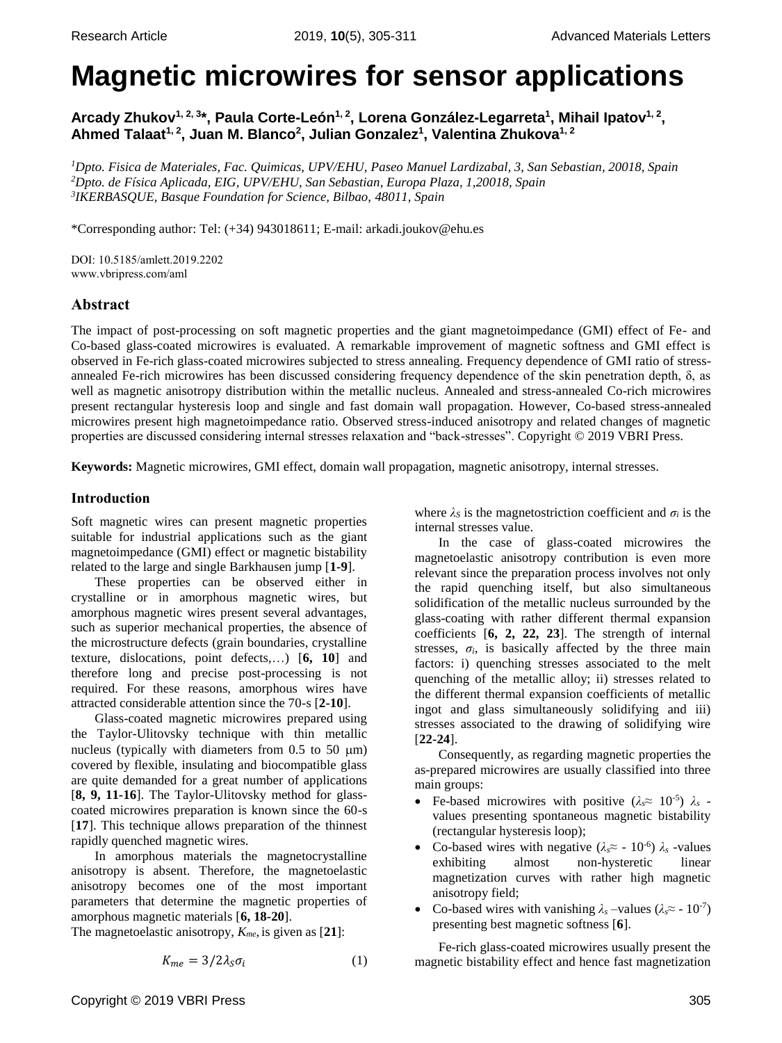# **Magnetic microwires for sensor applications**

**Arcady Zhukov1, 2, <sup>3</sup> \*, Paula Corte-León1, <sup>2</sup> , Lorena González-Legarreta<sup>1</sup> , Mihail Ipatov1, <sup>2</sup> , Ahmed Talaat1, <sup>2</sup> , Juan M. Blanco<sup>2</sup> , Julian Gonzalez<sup>1</sup> , Valentina Zhukova1, <sup>2</sup>**

*<sup>1</sup>Dpto. Fisica de Materiales, Fac. Quimicas, UPV/EHU, Paseo Manuel Lardizabal, 3, San Sebastian, 20018, Spain <sup>2</sup>Dpto. de Física Aplicada, EIG, UPV/EHU, San Sebastian, Europa Plaza, 1,20018, Spain 3 IKERBASQUE, Basque Foundation for Science, Bilbao, 48011, Spain*

\*Corresponding author: Tel: (+34) 943018611; E-mail: arkadi.joukov@ehu.es

DOI: 10.5185/amlett.2019.2202 www.vbripress.com/aml

# **Abstract**

The impact of post-processing on soft magnetic properties and the giant magnetoimpedance (GMI) effect of Fe- and Co-based glass-coated microwires is evaluated. A remarkable improvement of magnetic softness and GMI effect is observed in Fe-rich glass-coated microwires subjected to stress annealing. Frequency dependence of GMI ratio of stressannealed Fe-rich microwires has been discussed considering frequency dependence of the skin penetration depth, δ, as well as magnetic anisotropy distribution within the metallic nucleus. Annealed and stress-annealed Co-rich microwires present rectangular hysteresis loop and single and fast domain wall propagation. However, Co-based stress-annealed microwires present high magnetoimpedance ratio. Observed stress-induced anisotropy and related changes of magnetic properties are discussed considering internal stresses relaxation and "back-stresses". Copyright © 2019 VBRI Press.

**Keywords:** Magnetic microwires, GMI effect, domain wall propagation, magnetic anisotropy, internal stresses.

## **Introduction**

Soft magnetic wires can present magnetic properties suitable for industrial applications such as the giant magnetoimpedance (GMI) effect or magnetic bistability related to the large and single Barkhausen jump [**1-9**].

These properties can be observed either in crystalline or in amorphous magnetic wires, but amorphous magnetic wires present several advantages, such as superior mechanical properties, the absence of the microstructure defects (grain boundaries, crystalline texture, dislocations, point defects,…) [**6, 10**] and therefore long and precise post-processing is not required. For these reasons, amorphous wires have attracted considerable attention since the 70-s [**2-10**].

Glass-coated magnetic microwires prepared using the Taylor-Ulitovsky technique with thin metallic nucleus (typically with diameters from  $0.5$  to  $50 \mu m$ ) covered by flexible, insulating and biocompatible glass are quite demanded for a great number of applications [**8, 9, 11-16**]. The Taylor-Ulitovsky method for glasscoated microwires preparation is known since the 60-s [**17**]. This technique allows preparation of the thinnest rapidly quenched magnetic wires.

In amorphous materials the magnetocrystalline anisotropy is absent. Therefore, the magnetoelastic anisotropy becomes one of the most important parameters that determine the magnetic properties of amorphous magnetic materials [**6, 18-20**].

The magnetoelastic anisotropy, *Kme*, is given as [**21**]:

$$
K_{me} = 3/2\lambda_s \sigma_i \tag{1}
$$

where  $\lambda_S$  is the magnetostriction coefficient and  $\sigma_i$  is the internal stresses value.

In the case of glass-coated microwires the magnetoelastic anisotropy contribution is even more relevant since the preparation process involves not only the rapid quenching itself, but also simultaneous solidification of the metallic nucleus surrounded by the glass-coating with rather different thermal expansion coefficients [**6, 2, 22, 23**]. The strength of internal stresses,  $\sigma_i$ , is basically affected by the three main factors: i) quenching stresses associated to the melt quenching of the metallic alloy; ii) stresses related to the different thermal expansion coefficients of metallic ingot and glass simultaneously solidifying and iii) stresses associated to the drawing of solidifying wire [**22-24**].

Consequently, as regarding magnetic properties the as-prepared microwires are usually classified into three main groups:

- Fe-based microwires with positive  $(\lambda_s \approx 10^{-5}) \lambda_s$ values presenting spontaneous magnetic bistability (rectangular hysteresis loop);
- Co-based wires with negative  $(\lambda_s \approx -10^{-6}) \lambda_s$  -values exhibiting almost non-hysteretic linear magnetization curves with rather high magnetic anisotropy field;
- Co-based wires with vanishing  $\lambda_s$  –values ( $\lambda_s \approx$  10<sup>-7</sup>) presenting best magnetic softness [**6**].

Fe-rich glass-coated microwires usually present the magnetic bistability effect and hence fast magnetization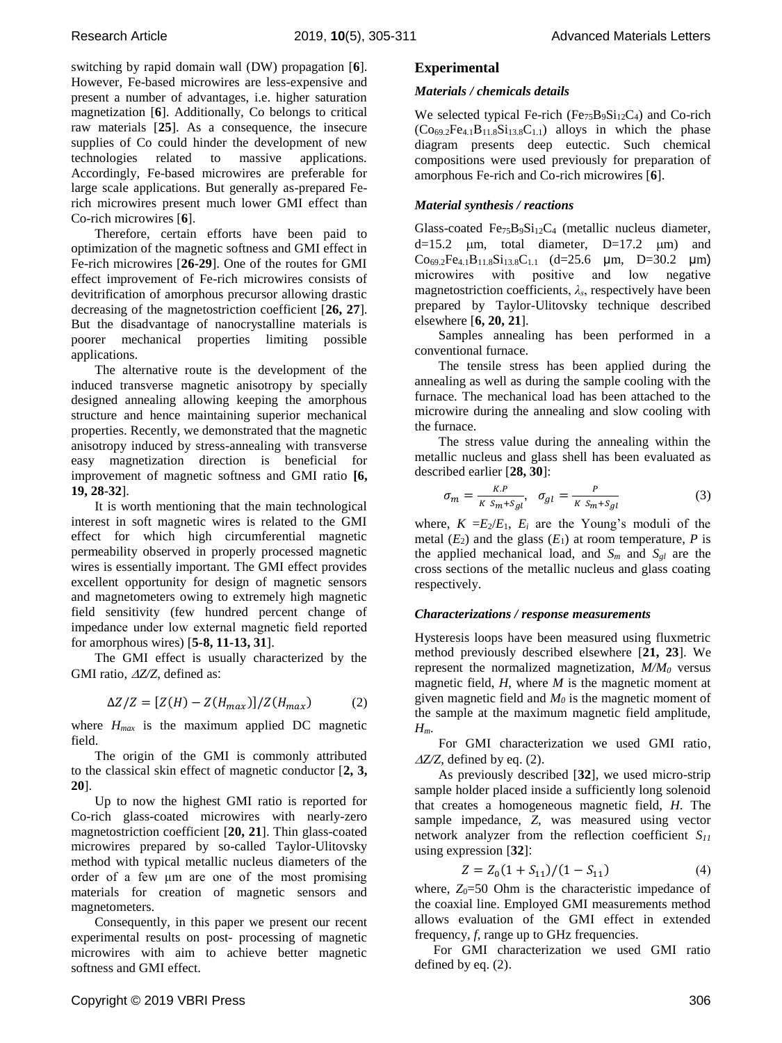switching by rapid domain wall (DW) propagation [**6**]. However, Fe-based microwires are less-expensive and present a number of advantages, i.e. higher saturation magnetization [**6**]. Additionally, Co belongs to critical raw materials [**25**]. As a consequence, the insecure supplies of Co could hinder the development of new technologies related to massive applications. Accordingly, Fe-based microwires are preferable for large scale applications. But generally as-prepared Ferich microwires present much lower GMI effect than Co-rich microwires [**6**].

Therefore, certain efforts have been paid to optimization of the magnetic softness and GMI effect in Fe-rich microwires [**26-29**]. One of the routes for GMI effect improvement of Fe-rich microwires consists of devitrification of amorphous precursor allowing drastic decreasing of the magnetostriction coefficient [**26, 27**]. But the disadvantage of nanocrystalline materials is poorer mechanical properties limiting possible applications.

The alternative route is the development of the induced transverse magnetic anisotropy by specially designed annealing allowing keeping the amorphous structure and hence maintaining superior mechanical properties. Recently, we demonstrated that the magnetic anisotropy induced by stress-annealing with transverse easy magnetization direction is beneficial for improvement of magnetic softness and GMI ratio **[6, 19, 28-32**].

It is worth mentioning that the main technological interest in soft magnetic wires is related to the GMI effect for which high circumferential magnetic permeability observed in properly processed magnetic wires is essentially important. The GMI effect provides excellent opportunity for design of magnetic sensors and magnetometers owing to extremely high magnetic field sensitivity (few hundred percent change of impedance under low external magnetic field reported for amorphous wires) [**5-8, 11-13, 31**].

The GMI effect is usually characterized by the GMI ratio,  $\triangle$ Z/Z, defined as:

$$
\Delta Z/Z = [Z(H) - Z(H_{max})]/Z(H_{max})
$$
 (2)

where  $H_{max}$  is the maximum applied DC magnetic field.

The origin of the GMI is commonly attributed to the classical skin effect of magnetic conductor [**2, 3, 20**].

Up to now the highest GMI ratio is reported for Co-rich glass-coated microwires with nearly-zero magnetostriction coefficient [**20, 21**]. Thin glass-coated microwires prepared by so-called Taylor-Ulitovsky method with typical metallic nucleus diameters of the order of a few μm are one of the most promising materials for creation of magnetic sensors and magnetometers.

Consequently, in this paper we present our recent experimental results on post- processing of magnetic microwires with aim to achieve better magnetic softness and GMI effect.

## **Experimental**

## *Materials / chemicals details*

We selected typical Fe-rich ( $Fe_{75}B_9Si_{12}C_4$ ) and Co-rich  $(Co_{69.2}Fe_{4.1}B_{11.8}Si_{13.8}C_{1.1})$  alloys in which the phase diagram presents deep eutectic. Such chemical compositions were used previously for preparation of amorphous Fe-rich and Co-rich microwires [**6**].

## *Material synthesis / reactions*

Glass-coated  $Fe_{75}B_9Si_{12}C_4$  (metallic nucleus diameter,  $d=15.2$   $\mu$ m, total diameter, D=17.2  $\mu$ m) and  $Co_{69.2}Fe_{4.1}B_{11.8}Si_{13.8}C_{1.1}$  (d=25.6  $\mu$ m, D=30.2  $\mu$ m) microwires with positive and low negative magnetostriction coefficients, *λs*, respectively have been prepared by Taylor-Ulitovsky technique described elsewhere [**6, 20, 21**].

Samples annealing has been performed in a conventional furnace.

The tensile stress has been applied during the annealing as well as during the sample cooling with the furnace. The mechanical load has been attached to the microwire during the annealing and slow cooling with the furnace.

The stress value during the annealing within the metallic nucleus and glass shell has been evaluated as described earlier [**28, 30**]:

$$
\sigma_m = \frac{\kappa \cdot P}{\kappa \, s_m + s_{gl}}, \quad \sigma_{gl} = \frac{P}{\kappa \, s_m + s_{gl}} \tag{3}
$$

where,  $K = E_2/E_1$ ,  $E_i$  are the Young's moduli of the metal  $(E_2)$  and the glass  $(E_1)$  at room temperature, P is the applied mechanical load, and  $S_m$  and  $S_{gl}$  are the cross sections of the metallic nucleus and glass coating respectively.

#### *Characterizations / response measurements*

Hysteresis loops have been measured using fluxmetric method previously described elsewhere [**21, 23**]. We represent the normalized magnetization, *M/M<sup>0</sup>* versus magnetic field, *H*, where *M* is the magnetic moment at given magnetic field and  $M_0$  is the magnetic moment of the sample at the maximum magnetic field amplitude, *Hm*.

For GMI characterization we used GMI ratio, *Z/Z*, defined by eq. (2).

As previously described [**32**], we used micro-strip sample holder placed inside a sufficiently long solenoid that creates a homogeneous magnetic field, *H*. The sample impedance, *Z*, was measured using vector network analyzer from the reflection coefficient *S<sup>11</sup>* using expression [**32**]:

$$
Z = Z_0(1 + S_{11})/(1 - S_{11})
$$
\n(4)

where,  $Z_0$ =50 Ohm is the characteristic impedance of the coaxial line. Employed GMI measurements method allows evaluation of the GMI effect in extended frequency, *f*, range up to GHz frequencies.

For GMI characterization we used GMI ratio defined by eq. (2).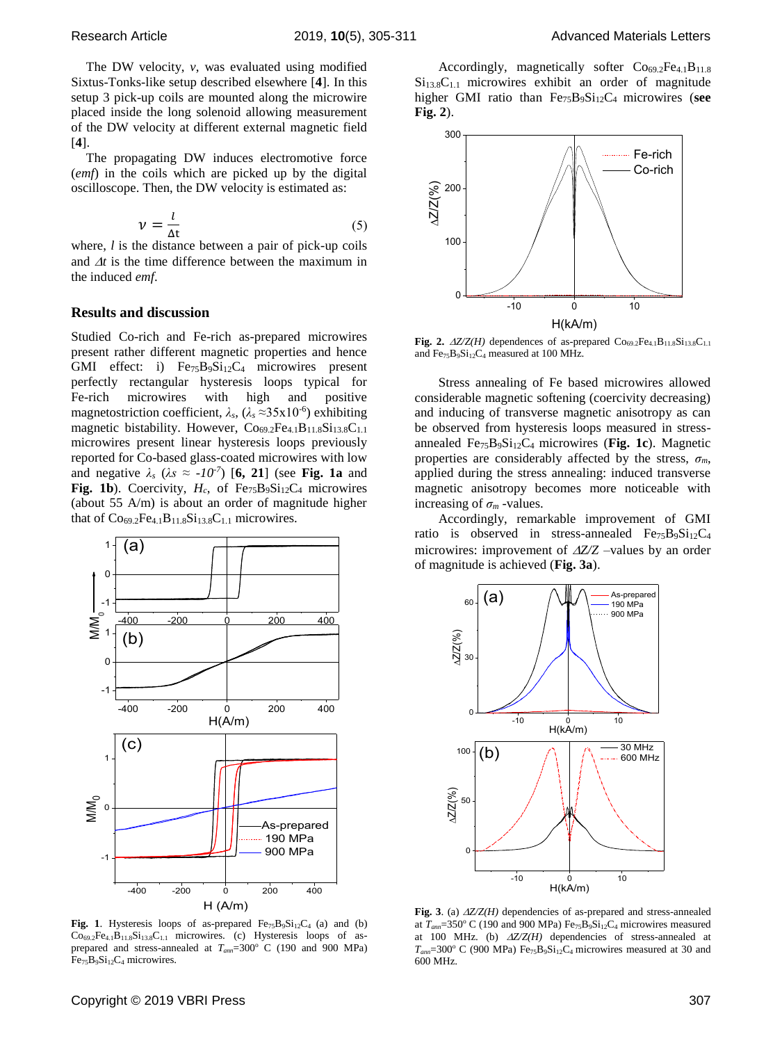The DW velocity, *v*, was evaluated using modified Sixtus-Tonks-like setup described elsewhere [**4**]. In this setup 3 pick-up coils are mounted along the microwire placed inside the long solenoid allowing measurement of the DW velocity at different external magnetic field [**4**].

The propagating DW induces electromotive force (*emf*) in the coils which are picked up by the digital oscilloscope. Then, the DW velocity is estimated as:

$$
\nu = \frac{l}{\Delta t} \tag{5}
$$

where, *l* is the distance between a pair of pick-up coils and  $\Delta t$  is the time difference between the maximum in the induced *emf*.

### **Results and discussion**

Studied Co-rich and Fe-rich as-prepared microwires present rather different magnetic properties and hence GMI effect: i)  $Fe_{75}B_9Si_{12}C_4$  microwires present perfectly rectangular hysteresis loops typical for Fe-rich microwires with high and positive magnetostriction coefficient, *λs*, (*λ<sup>s</sup>* ≈35x10-6 ) exhibiting magnetic bistability. However,  $Co<sub>69.2</sub>Fe<sub>4.1</sub>B<sub>11.8</sub>Si<sub>13.8</sub>C<sub>1.1</sub>$ microwires present linear hysteresis loops previously reported for Co-based glass-coated microwires with low and negative  $\lambda_s$  ( $\lambda_s \approx -10^{-7}$ ) [6, 21] (see Fig. 1a and Fig. 1b). Coercivity,  $H_c$ , of Fe<sub>75</sub>B<sub>9</sub>Si<sub>12</sub>C<sub>4</sub> microwires (about 55 A/m) is about an order of magnitude higher that of  $Co_{69.2}Fe_{4.1}B_{11.8}Si_{13.8}C_{1.1}$  microwires.



Fig. 1. Hysteresis loops of as-prepared  $Fe_{75}B_9Si_{12}C_4$  (a) and (b)  $Co_{69.2}Fe_{4.1}B_{11.8}Si_{13.8}C_{1.1}$  microwires. (c) Hysteresis loops of asprepared and stress-annealed at  $T_{am}$ =300° C (190 and 900 MPa)  $Fe_{75}B_9Si_{12}C_4$  microwires.



**Fig. 2.**  $\Delta Z/Z(H)$  dependences of as-prepared  $\text{Co}_{69.2}\text{Fe}_{4.1}\text{B}_{11.8}\text{Si}_{13.8}\text{C}_{1.1}$ and  $Fe_{75}B_9Si_{12}C_4$  measured at 100 MHz.

Stress annealing of Fe based microwires allowed considerable magnetic softening (coercivity decreasing) and inducing of transverse magnetic anisotropy as can be observed from hysteresis loops measured in stressannealed Fe75B9Si12C4 microwires (**Fig. 1c**). Magnetic properties are considerably affected by the stress,  $\sigma_m$ , applied during the stress annealing: induced transverse magnetic anisotropy becomes more noticeable with increasing of  $\sigma_m$  -values.

Accordingly, remarkable improvement of GMI ratio is observed in stress-annealed  $Fe_{75}B_9Si_{12}C_4$ microwires: improvement of  $\Delta Z/Z$  –values by an order of magnitude is achieved (**Fig. 3a**).



Fig. 3. (a)  $\Delta Z/Z(H)$  dependencies of as-prepared and stress-annealed at  $T_{\text{ann}}$ =350° C (190 and 900 MPa) Fe<sub>75</sub>B<sub>9</sub>Si<sub>12</sub>C<sub>4</sub> microwires measured at 100 MHz. (b)  $\Delta Z/Z(H)$  dependencies of stress-annealed at  $T_{\text{ann}}$ =300° C (900 MPa) Fe<sub>75</sub>B<sub>9</sub>Si<sub>12</sub>C<sub>4</sub> microwires measured at 30 and 600 MHz.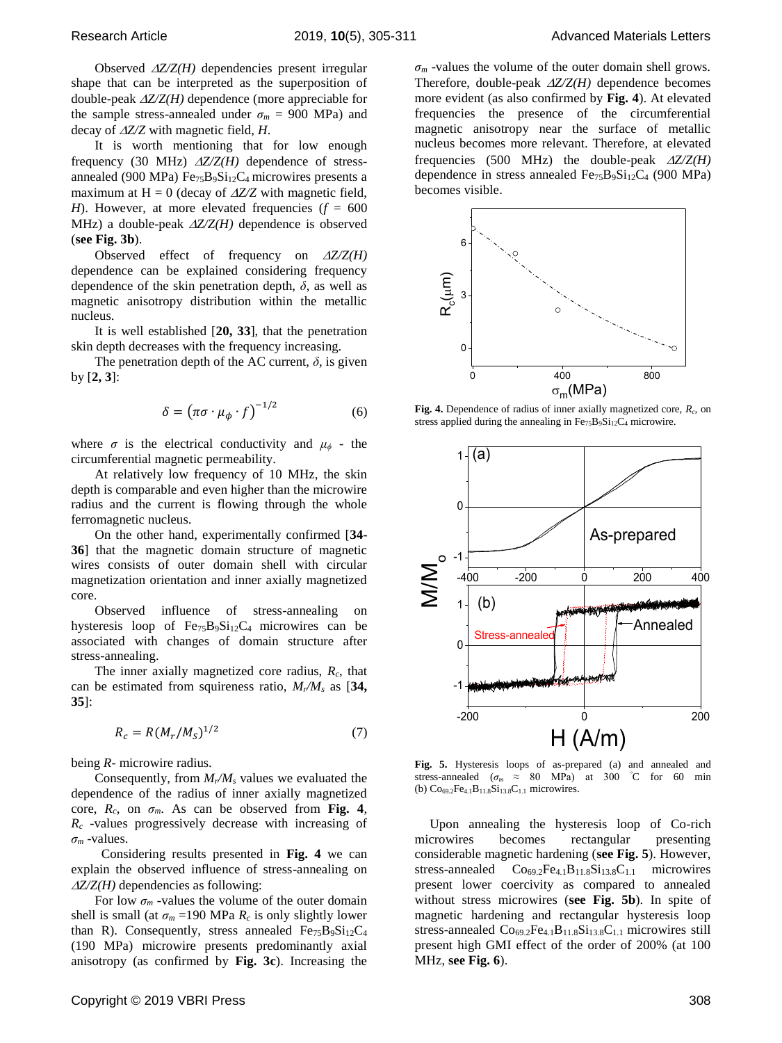Observed  $\Delta Z/Z(H)$  dependencies present irregular shape that can be interpreted as the superposition of double-peak *Z/Z(H)* dependence (more appreciable for the sample stress-annealed under  $\sigma_m$  = 900 MPa) and decay of *Z/Z* with magnetic field, *H*.

It is worth mentioning that for low enough frequency (30 MHz)  $\Delta Z/Z(H)$  dependence of stressannealed (900 MPa)  $Fe_{75}B_9Si_{12}C_4$  microwires presents a maximum at  $H = 0$  (decay of  $\Delta Z/Z$  with magnetic field, *H*). However, at more elevated frequencies  $(f = 600$ MHz) a double-peak  $\triangle Z/Z(H)$  dependence is observed (**see Fig. 3b**).

Observed effect of frequency on  $\Delta Z/Z(H)$ dependence can be explained considering frequency dependence of the skin penetration depth,  $\delta$ , as well as magnetic anisotropy distribution within the metallic nucleus.

It is well established [**20, 33**], that the penetration skin depth decreases with the frequency increasing.

The penetration depth of the AC current,  $\delta$ , is given by [**2, 3**]:

$$
\delta = \left(\pi\sigma \cdot \mu_{\phi} \cdot f\right)^{-1/2} \tag{6}
$$

where  $\sigma$  is the electrical conductivity and  $\mu_{\phi}$  - the circumferential magnetic permeability.

At relatively low frequency of 10 MHz, the skin depth is comparable and even higher than the microwire radius and the current is flowing through the whole ferromagnetic nucleus.

On the other hand, experimentally confirmed [**34- 36**] that the magnetic domain structure of magnetic wires consists of outer domain shell with circular magnetization orientation and inner axially magnetized core.

Observed influence of stress-annealing on hysteresis loop of  $Fe_{75}B_9Si_{12}C_4$  microwires can be associated with changes of domain structure after stress-annealing.

The inner axially magnetized core radius, *Rc*, that can be estimated from squireness ratio, *Mr/M<sup>s</sup>* as [**34, 35**]:

$$
R_c = R(M_r/M_S)^{1/2}
$$
 (7)

being *R*- microwire radius.

Consequently, from *Mr/M<sup>s</sup>* values we evaluated the dependence of the radius of inner axially magnetized core,  $R_c$ , on  $\sigma_m$ . As can be observed from **Fig. 4**, *R<sup>c</sup>* -values progressively decrease with increasing of  $\sigma_m$  -values.

 Considering results presented in **Fig. 4** we can explain the observed influence of stress-annealing on  $\Delta Z/Z(H)$  dependencies as following:

For low  $\sigma_m$  -values the volume of the outer domain shell is small (at  $\sigma_m$  =190 MPa  $R_c$  is only slightly lower than R). Consequently, stress annealed  $Fe_{75}B_9Si_{12}C_4$ (190 MPa) microwire presents predominantly axial anisotropy (as confirmed by **Fig. 3c**). Increasing the  $\sigma_m$  -values the volume of the outer domain shell grows. Therefore, double-peak  $\Delta Z/Z(H)$  dependence becomes more evident (as also confirmed by **Fig. 4**). At elevated frequencies the presence of the circumferential magnetic anisotropy near the surface of metallic nucleus becomes more relevant. Therefore, at elevated frequencies (500 MHz) the double-peak  $\Delta Z/Z(H)$ dependence in stress annealed  $Fe_{75}B_9Si_{12}C_4$  (900 MPa) becomes visible.



**Fig. 4.** Dependence of radius of inner axially magnetized core, *Rc*, on stress applied during the annealing in  $Fe_{75}B_9Si_{12}C_4$  microwire.



**Fig. 5.** Hysteresis loops of as-prepared (a) and annealed and stress-annealed ( $\sigma_m \approx 80$  MPa) at 300 °C for 60 min (b)  $Co_{69.2}Fe_{4.1}B_{11.8}Si_{13.8}C_{1.1}$  microwires.

Upon annealing the hysteresis loop of Co-rich microwires becomes rectangular presenting considerable magnetic hardening (**see Fig. 5**). However, stress-annealed  $Co<sub>69.2</sub>Fe<sub>4.1</sub>B<sub>11.8</sub>Si<sub>13.8</sub>C<sub>1.1</sub> microwires$ present lower coercivity as compared to annealed without stress microwires (**see Fig. 5b**). In spite of magnetic hardening and rectangular hysteresis loop stress-annealed  $Co<sub>69.2</sub>Fe<sub>4.1</sub>B<sub>11.8</sub>Si<sub>13.8</sub>C<sub>1.1</sub> microwires still$ present high GMI effect of the order of 200% (at 100 MHz, **see Fig. 6**).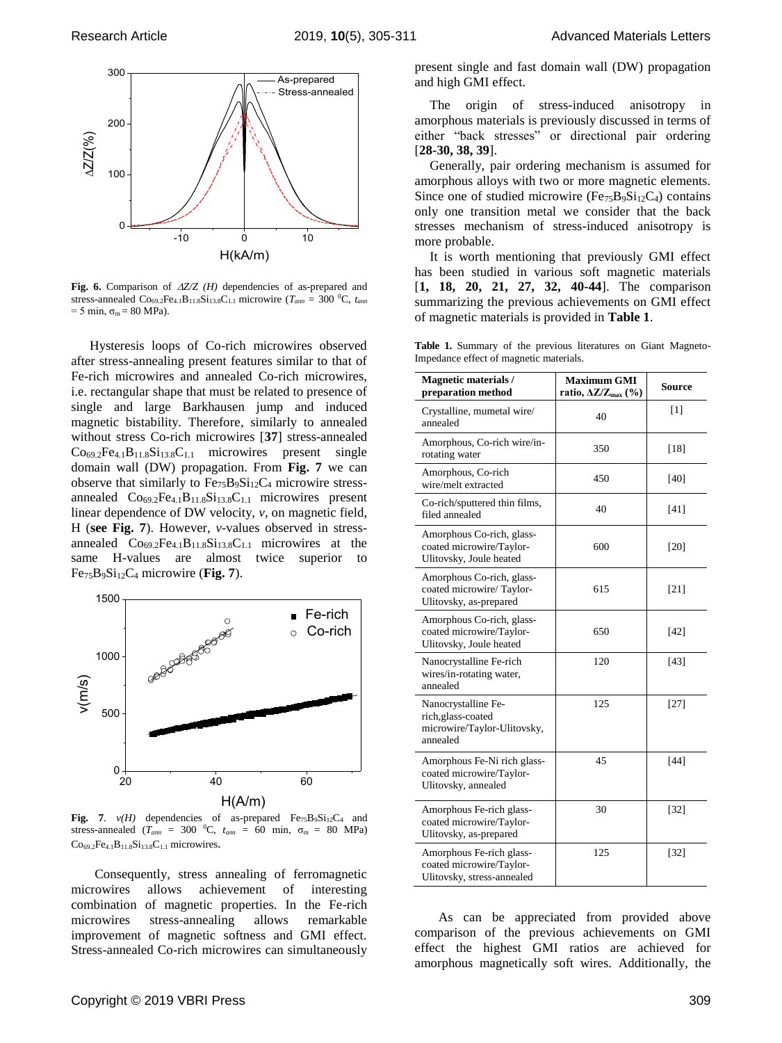

**Fig. 6.** Comparison of *Z/Z (H)* dependencies of as-prepared and stress-annealed  $\text{Co}_{69.2}\text{Fe}_{4.1}\text{B}_{11.8}\text{Si}_{13.8}\text{C}_{1.1}$  microwire ( $T_{ann}$  = 300 °C,  $t_{ann}$  $= 5$  min,  $\sigma_m = 80$  MPa).

Hysteresis loops of Co-rich microwires observed after stress-annealing present features similar to that of Fe-rich microwires and annealed Co-rich microwires, i.e. rectangular shape that must be related to presence of single and large Barkhausen jump and induced magnetic bistability. Therefore, similarly to annealed without stress Co-rich microwires [**37**] stress-annealed  $Co_{69.2}Fe_{4.1}B_{11.8}Si_{13.8}C_{1.1}$  microwires present single domain wall (DW) propagation. From **Fig. 7** we can observe that similarly to  $Fe<sub>75</sub>B<sub>9</sub>Si<sub>12</sub>C<sub>4</sub>$  microwire stressannealed  $Co_{69.2}Fe_{4.1}B_{11.8}Si_{13.8}C_{1.1}$  microwires present linear dependence of DW velocity, *v*, on magnetic field, H (**see Fig. 7**). However, *v*-values observed in stressannealed  $Co_{69.2}Fe_{4.1}B_{11.8}Si_{13.8}C_{1.1}$  microwires at the same H-values are almost twice superior to Fe75B9Si12C<sup>4</sup> microwire (**Fig. 7**).



**Fig. 7.**  $v(H)$  dependencies of as-prepared  $Fe_{75}B_9Si_{12}C_4$  and stress-annealed ( $T_{ann}$  = 300 °C,  $t_{ann}$  = 60 min,  $\sigma_m$  = 80 MPa)  $Co_{69.2}Fe_{4.1}B_{11.8}Si_{13.8}C_{1.1}$  microwires.

Consequently, stress annealing of ferromagnetic microwires allows achievement of interesting combination of magnetic properties. In the Fe-rich microwires stress-annealing allows remarkable improvement of magnetic softness and GMI effect. Stress-annealed Co-rich microwires can simultaneously present single and fast domain wall (DW) propagation and high GMI effect.

The origin of stress-induced anisotropy in amorphous materials is previously discussed in terms of either "back stresses" or directional pair ordering [**28-30, 38, 39**].

Generally, pair ordering mechanism is assumed for amorphous alloys with two or more magnetic elements. Since one of studied microwire ( $Fe_{75}B_9Si_{12}C_4$ ) contains only one transition metal we consider that the back stresses mechanism of stress-induced anisotropy is more probable.

It is worth mentioning that previously GMI effect has been studied in various soft magnetic materials [**1, 18, 20, 21, 27, 32, 40-44**]. The comparison summarizing the previous achievements on GMI effect of magnetic materials is provided in **Table 1**.

**Table 1.** Summary of the previous literatures on Giant Magneto-Impedance effect of magnetic materials.

| <b>Magnetic materials/</b><br>preparation method                                     | <b>Maximum GMI</b><br>ratio, $\Delta Z/Z_{\rm max}$ (%) | Source |
|--------------------------------------------------------------------------------------|---------------------------------------------------------|--------|
| Crystalline, mumetal wire/<br>annealed                                               | 40                                                      | [1]    |
| Amorphous, Co-rich wire/in-<br>rotating water                                        | 350                                                     | [18]   |
| Amorphous, Co-rich<br>wire/melt extracted                                            | 450                                                     | [40]   |
| Co-rich/sputtered thin films,<br>filed annealed                                      | 40                                                      | [41]   |
| Amorphous Co-rich, glass-<br>coated microwire/Taylor-<br>Ulitovsky, Joule heated     | 600                                                     | [20]   |
| Amorphous Co-rich, glass-<br>coated microwire/Taylor-<br>Ulitovsky, as-prepared      | 615                                                     | [21]   |
| Amorphous Co-rich, glass-<br>coated microwire/Taylor-<br>Ulitovsky, Joule heated     | 650                                                     | $[42]$ |
| Nanocrystalline Fe-rich<br>wires/in-rotating water,<br>annealed                      | 120                                                     | [43]   |
| Nanocrystalline Fe-<br>rich, glass-coated<br>microwire/Taylor-Ulitovsky,<br>annealed | 125                                                     | $[27]$ |
| Amorphous Fe-Ni rich glass-<br>coated microwire/Taylor-<br>Ulitovsky, annealed       | 45                                                      | $[44]$ |
| Amorphous Fe-rich glass-<br>coated microwire/Taylor-<br>Ulitovsky, as-prepared       | 30                                                      | $[32]$ |
| Amorphous Fe-rich glass-<br>coated microwire/Taylor-<br>Ulitovsky, stress-annealed   | 125                                                     | $[32]$ |

As can be appreciated from provided above comparison of the previous achievements on GMI effect the highest GMI ratios are achieved for amorphous magnetically soft wires. Additionally, the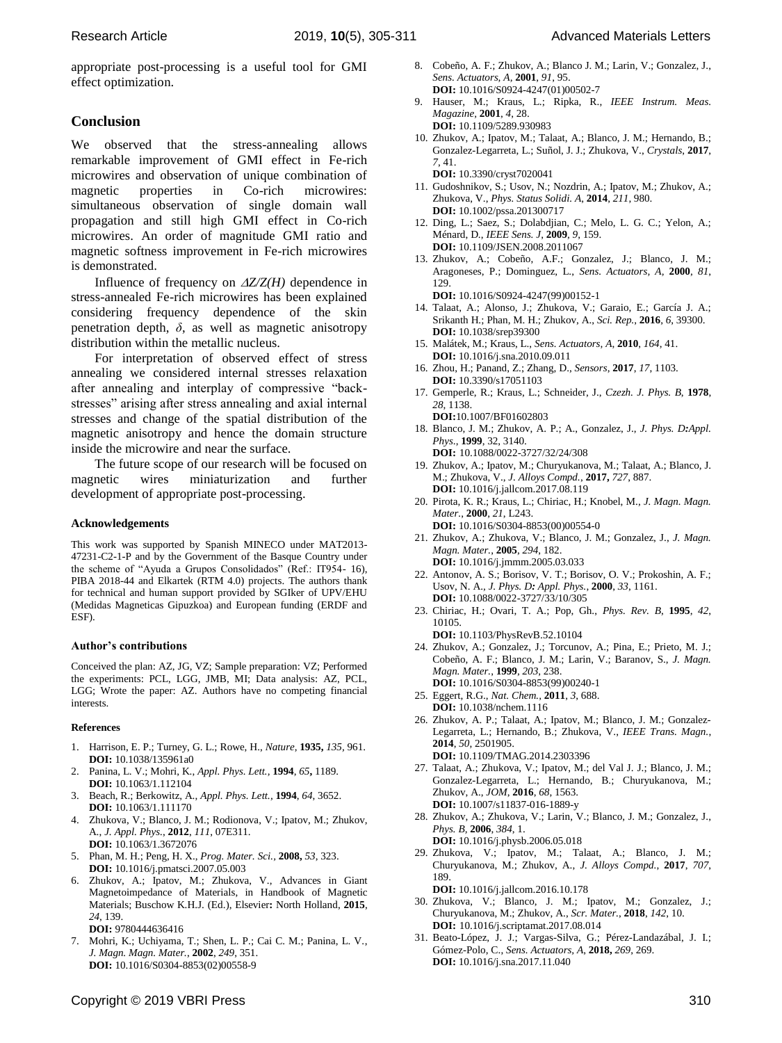appropriate post-processing is a useful tool for GMI effect optimization.

## **Conclusion**

We observed that the stress-annealing allows remarkable improvement of GMI effect in Fe-rich microwires and observation of unique combination of magnetic properties in Co-rich microwires: simultaneous observation of single domain wall propagation and still high GMI effect in Co-rich microwires. An order of magnitude GMI ratio and magnetic softness improvement in Fe-rich microwires is demonstrated.

Influence of frequency on  $\Delta Z/Z(H)$  dependence in stress-annealed Fe-rich microwires has been explained considering frequency dependence of the skin penetration depth,  $\delta$ , as well as magnetic anisotropy distribution within the metallic nucleus.

For interpretation of observed effect of stress annealing we considered internal stresses relaxation after annealing and interplay of compressive "backstresses" arising after stress annealing and axial internal stresses and change of the spatial distribution of the magnetic anisotropy and hence the domain structure inside the microwire and near the surface.

The future scope of our research will be focused on magnetic wires miniaturization and further development of appropriate post-processing.

#### **Acknowledgements**

This work was supported by Spanish MINECO under MAT2013- 47231-C2-1-P and by the Government of the Basque Country under the scheme of "Ayuda a Grupos Consolidados" (Ref.: IT954- 16), PIBA 2018-44 and Elkartek (RTM 4.0) projects. The authors thank for technical and human support provided by SGIker of UPV/EHU (Medidas Magneticas Gipuzkoa) and European funding (ERDF and ESF).

#### **Author's contributions**

Conceived the plan: AZ, JG, VZ; Sample preparation: VZ; Performed the experiments: PCL, LGG, JMB, MI; Data analysis: AZ, PCL, LGG; Wrote the paper: AZ. Authors have no competing financial interests.

#### **References**

- 1. Harrison, E. P.; Turney, G. L.; Rowe, H., *Nature*, **1935,** *135,* 961. **DOI:** [10.1038/135961a0](https://doi.org/10.1038/135961a0)
- 2. Panina, L. V.; Mohri, K., *Appl. Phys. Lett.,* **1994**, *65***,** 1189. **DOI:** [10.1063/1.112104](https://doi.org/10.1063/1.112104)
- 3. Beach, R.; Berkowitz, A., *Appl. Phys. Lett.,* **1994**, *64*, 3652. **DOI:** [10.1063/1.111170](https://doi.org/10.1063/1.111170)
- 4. Zhukova, V.; Blanco, J. M.; Rodionova, V.; Ipatov, M.; Zhukov, A., *J. Appl. Phys.*, **2012**, *111*, 07E311. **DOI:** [10.1063/1.3672076](https://doi.org/10.1063/1.3672076)
- 5. Phan, M. H.; Peng, H. X., *Prog. Mater. Sci.,* **2008,** *53*, 323. **DOI:** [10.1016/j.pmatsci.2007.05.003](https://doi.org/10.1016/j.pmatsci.2007.05.003)
- 6. Zhukov, A.; Ipatov, M.; Zhukova, V., Advances in Giant Magnetoimpedance of Materials, in Handbook of Magnetic Materials; Buschow K.H.J. (Ed.), Elsevier**:** North Holland, **2015**, *24*, 139. **DOI:** 9780444636416
- 7. Mohri, K.; Uchiyama, T.; Shen, L. P.; Cai C. M.; Panina, L. V., *J. Magn. Magn. Mater.*, **2002**, *249*, 351. **DOI:** [10.1016/S0304-8853\(02\)00558-9](https://doi.org/10.1016/S0304-8853(02)00558-9)
- 8. Cobeño, A. F.; Zhukov, A.; Blanco J. M.; Larin, V.; Gonzalez, J., *Sens. Actuators, A,* **2001**, *91*, 95. **DOI:** [10.1016/S0924-4247\(01\)00502-7](https://doi.org/10.1016/S0924-4247(01)00502-7)
- 9. Hauser, M.; Kraus, L.; Ripka, R., *IEEE Instrum. Meas. Magazine,* **2001**, *4*, 28. **DOI:** [10.1109/5289.930983](https://doi.org/10.1109/5289.930983)
- 10. Zhukov, A.; Ipatov, M.; Talaat, A.; Blanco, J. M.; Hernando, B.; Gonzalez-Legarreta, L.; Suñol, J. J.; Zhukova, V., *Crystals*, **2017**, *7*, 41. **DOI:** [10.3390/cryst7020041](https://doi.org/10.3390/cryst7020041)
- 11. Gudoshnikov, S.; Usov, N.; Nozdrin, A.; Ipatov, M.; Zhukov, A.; Zhukova, V., *Phys. Status Solidi. A*, **2014**, *211*, 980. **DOI:** [10.1002/pssa.201300717](https://doi.org/10.1002/pssa.201300717)
- 12. Ding, L.; Saez, S.; Dolabdjian, C.; Melo, L. G. C.; Yelon, A.; Ménard, D., *IEEE Sens. J*, **2009**, *9*, 159. **DOI:** [10.1109/JSEN.2008.2011067](https://doi.org/10.1109/JSEN.2008.2011067)
- 13. Zhukov, A.; Cobeño, A.F.; Gonzalez, J.; Blanco, J. M.; Aragoneses, P.; Dominguez, L., *Sens. Actuators, A,* **2000**, *81*, 129.
	- **DOI:** [10.1016/S0924-4247\(99\)00152-1](https://doi.org/10.1016/S0924-4247(99)00152-1)
- 14. Talaat, A.; Alonso, J.; Zhukova, V.; Garaio, E.; García J. A.; Srikanth H.; Phan, M. H.; Zhukov, A., *Sci. Rep.*, **2016**, *6*, 39300. **DOI:** [10.1038/srep39300](https://doi.org/10.1038/srep39300)
- 15. Malátek, M.; Kraus, L., *Sens. Actuators, A*, **2010**, *164*, 41. **DOI:** [10.1016/j.sna.2010.09.011](https://doi.org/10.1016/j.sna.2010.09.011)
- 16. Zhou, H.; Panand, Z.; Zhang, D., *Sensors*, **2017**, *17*, 1103. **DOI:** [10.3390/s17051103](http://dx.doi.org/10.3390/s17051103)
- 17. Gemperle, R.; Kraus, L.; Schneider, J., *Czezh. J. Phys. B*, **1978**, *28*, 1138. **DOI:**10.1007/BF01602803
- 18. Blanco, J. M.; Zhukov, A. P.; A., Gonzalez, J., *J. Phys. D:Appl. Phys*., **1999**, 32, 3140. **DOI:** [10.1088/0022-3727/32/24/308](https://doi.org/10.1088/0022-3727/32/24/308)
- 19. Zhukov, A.; Ipatov, M.; Churyukanova, M.; Talaat, A.; Blanco, J. M.; Zhukova, V., *J. Alloys Compd.*, **2017,** *727*, 887. **DOI:** [10.1016/j.jallcom.2017.08.119](https://doi.org/10.1016/j.jallcom.2017.08.119)
- 20. Pirota, K. R.; Kraus, L.; Chiriac, H.; Knobel, M., *J. Magn. Magn. Mater.*, **2000**, *21*, L243. **DOI:** [10.1016/S0304-8853\(00\)00554-0](https://doi.org/10.1016/S0304-8853(00)00554-0)
- 21. Zhukov, A.; Zhukova, V.; Blanco, J. M.; Gonzalez, J., *J. Magn. Magn. Mater.*, **2005**, *294*, 182.
- **DOI:** [10.1016/j.jmmm.2005.03.033](https://doi.org/10.1016/j.jmmm.2005.03.033) 22. Antonov, A. S.; Borisov, V. T.; Borisov, O. V.; Prokoshin, A. F.; Usov, N. A., *J. Phys. D: Appl. Phys.*, **2000**, *33*, 1161. **DOI:** 10.1088/0022-3727/33/10/305
- 23. Chiriac, H.; Ovari, T. A.; Pop, Gh., *Phys. Rev. B*, **1995**, *42*, 10105.

**DOI:** 10.1103/PhysRevB.52.10104 24. Zhukov, A.; Gonzalez, J.; Torcunov, A.; Pina, E.; Prieto, M. J.; Cobeño, A. F.; Blanco, J. M.; Larin, V.; Baranov, S., *J. Magn. Magn. Mater.*, **1999**, *203*, 238.

- **DOI:** [10.1016/S0304-8853\(99\)00240-1](https://doi.org/10.1016/S0304-8853(99)00240-1) 25. Eggert, R.G., *Nat. Chem.,* **2011**, *3*, 688.
- **DOI:** [10.1038/nchem.1116](https://doi.org/10.1038/nchem.1116)
- 26. Zhukov, A. P.; Talaat, A.; Ipatov, M.; Blanco, J. M.; Gonzalez-Legarreta, L.; Hernando, B.; Zhukova, V., *IEEE Trans. Magn.*, **2014**, *50*, 2501905. **DOI:** [10.1109/TMAG.2014.2303396](https://doi.org/10.1109/TMAG.2014.2303396)
- 27. Talaat, A.; Zhukova, V.; Ipatov, M.; del Val J. J.; Blanco, J. M.; Gonzalez-Legarreta, L.; Hernando, B.; Churyukanova, M.; Zhukov, A., *JOM*, **2016**, *68*, 1563. **DOI:** 10.1007/s11837-016-1889-y
- 28. Zhukov, A.; Zhukova, V.; Larin, V.; Blanco, J. M.; Gonzalez, J., *Phys. B,* **2006**, *384*, 1. **DOI:** [10.1016/j.physb.2006.05.018](https://doi.org/10.1016/j.physb.2006.05.018)
- 29. Zhukova, V.; Ipatov, M.; Talaat, A.; Blanco, J. M.; Churyukanova, M.; Zhukov, A., *J. Alloys Compd.*, **2017**, *707*, 189.
	- **DOI:** [10.1016/j.jallcom.2016.10.178](https://doi.org/10.1016/j.jallcom.2016.10.178)
- 30. Zhukova, V.; Blanco, J. M.; Ipatov, M.; Gonzalez, J.; Churyukanova, M.; Zhukov, A., *Scr. Mater.*, **2018**, *142*, 10. **DOI:** [10.1016/j.scriptamat.2017.08.014](https://doi.org/10.1016/j.scriptamat.2017.08.014)
- 31. Beato-López, J. J.; Vargas-Silva, G.; Pérez-Landazábal, J. I.; Gómez-Polo, C., *Sens. Actuators, A*, **2018,** *269*, 269. **DOI:** [10.1016/j.sna.2017.11.040](https://doi.org/10.1016/j.sna.2017.11.040)